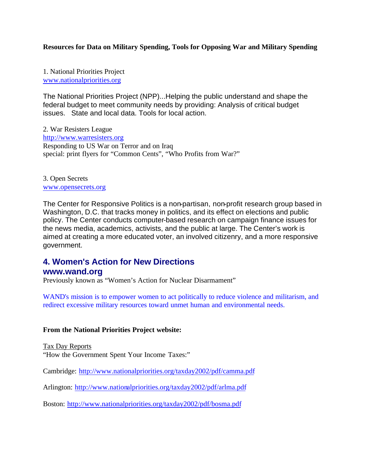### **Resources for Data on Military Spending, Tools for Opposing War and Military Spending**

1. National Priorities Project www.nationalpriorities.org

The National Priorities Project (NPP)...Helping the public understand and shape the federal budget to meet community needs by providing: Analysis of critical budget issues. State and local data. Tools for local action.

2. War Resisters League http://www.warresisters.org Responding to US War on Terror and on Iraq special: print flyers for "Common Cents", "Who Profits from War?"

3. Open Secrets www.opensecrets.org

The Center for Responsive Politics is a non-partisan, non-profit research group based in Washington, D.C. that tracks money in politics, and its effect on elections and public policy. The Center conducts computer-based research on campaign finance issues for the news media, academics, activists, and the public at large. The Center's work is aimed at creating a more educated voter, an involved citizenry, and a more responsive government.

# **4. Women's Action for New Directions**

## **www.wand.org**

Previously known as "Women's Action for Nuclear Disarmament"

WAND's mission is to empower women to act politically to reduce violence and militarism, and redirect excessive military resources toward unmet human and environmental needs.

#### **From the National Priorities Project website:**

Tax Day Reports

"How the Government Spent Your Income Taxes:"

Cambridge: http://www.nationalpriorities.org/taxday2002/pdf/camma.pdf

Arlington: http://www.nationalpriorities.org/taxday2002/pdf/arlma.pdf

Boston: http://www.nationalpriorities.org/taxday2002/pdf/bosma.pdf